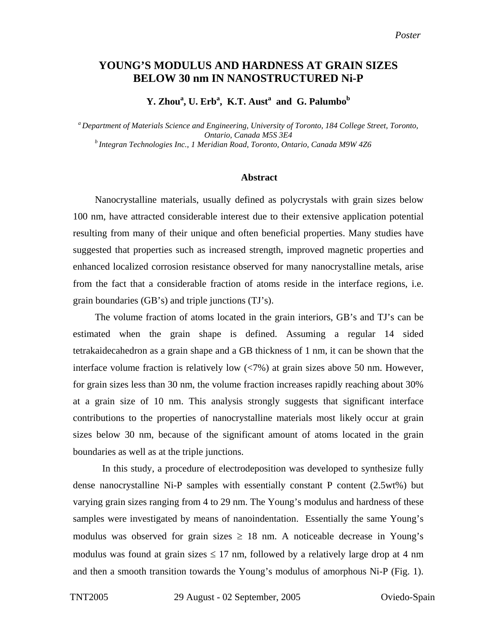## **YOUNG'S MODULUS AND HARDNESS AT GRAIN SIZES BELOW 30 nm IN NANOSTRUCTURED Ni-P**

## Y. Zhou<sup>a</sup>, U. Erb<sup>a</sup>, K.T. Aust<sup>a</sup> and G. Palumbo<sup>b</sup>

*a Department of Materials Science and Engineering, University of Toronto, 184 College Street, Toronto, Ontario, Canada M5S 3E4 b Integran Technologies Inc., 1 Meridian Road, Toronto, Ontario, Canada M9W 4Z6*

## **Abstract**

Nanocrystalline materials, usually defined as polycrystals with grain sizes below 100 nm, have attracted considerable interest due to their extensive application potential resulting from many of their unique and often beneficial properties. Many studies have suggested that properties such as increased strength, improved magnetic properties and enhanced localized corrosion resistance observed for many nanocrystalline metals, arise from the fact that a considerable fraction of atoms reside in the interface regions, i.e. grain boundaries (GB's) and triple junctions (TJ's).

The volume fraction of atoms located in the grain interiors, GB's and TJ's can be estimated when the grain shape is defined. Assuming a regular 14 sided tetrakaidecahedron as a grain shape and a GB thickness of 1 nm, it can be shown that the interface volume fraction is relatively low (<7%) at grain sizes above 50 nm. However, for grain sizes less than 30 nm, the volume fraction increases rapidly reaching about 30% at a grain size of 10 nm. This analysis strongly suggests that significant interface contributions to the properties of nanocrystalline materials most likely occur at grain sizes below 30 nm, because of the significant amount of atoms located in the grain boundaries as well as at the triple junctions.

In this study, a procedure of electrodeposition was developed to synthesize fully dense nanocrystalline Ni-P samples with essentially constant P content (2.5wt%) but varying grain sizes ranging from 4 to 29 nm. The Young's modulus and hardness of these samples were investigated by means of nanoindentation. Essentially the same Young's modulus was observed for grain sizes  $\geq$  18 nm. A noticeable decrease in Young's modulus was found at grain sizes  $\leq 17$  nm, followed by a relatively large drop at 4 nm and then a smooth transition towards the Young's modulus of amorphous Ni-P [\(Fig. 1\)](#page-1-0).

TNT2005 29 August - 02 September, 2005 Oviedo-Spain